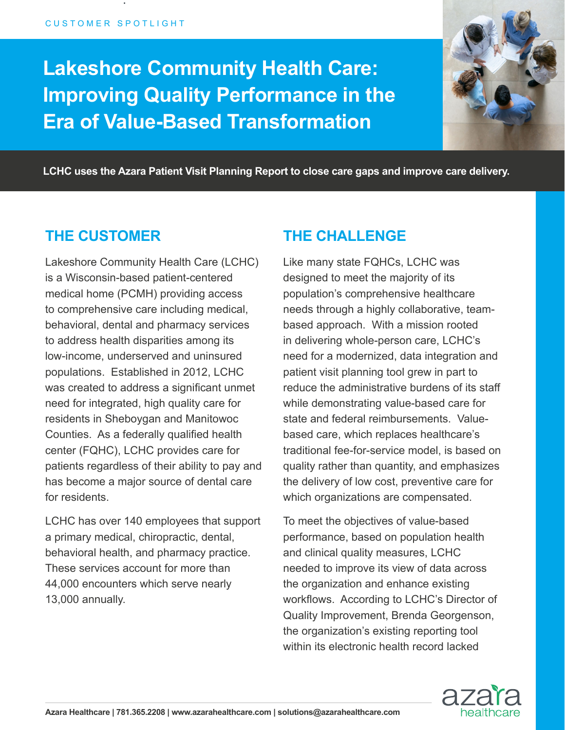.

# **Lakeshore Community Health Care: Improving Quality Performance in the Era of Value-Based Transformation**



**LCHC uses the Azara Patient Visit Planning Report to close care gaps and improve care delivery.**

### **THE CUSTOMER**

Lakeshore Community Health Care (LCHC) is a Wisconsin-based patient-centered medical home (PCMH) providing access to comprehensive care including medical, behavioral, dental and pharmacy services to address health disparities among its low-income, underserved and uninsured populations. Established in 2012, LCHC was created to address a significant unmet need for integrated, high quality care for residents in Sheboygan and Manitowoc Counties. As a federally qualified health center (FQHC), LCHC provides care for patients regardless of their ability to pay and has become a major source of dental care for residents.

LCHC has over 140 employees that support a primary medical, chiropractic, dental, behavioral health, and pharmacy practice. These services account for more than 44,000 encounters which serve nearly 13,000 annually.

### **THE CHALLENGE**

Like many state FQHCs, LCHC was designed to meet the majority of its population's comprehensive healthcare needs through a highly collaborative, teambased approach. With a mission rooted in delivering whole-person care, LCHC's need for a modernized, data integration and patient visit planning tool grew in part to reduce the administrative burdens of its staff while demonstrating value-based care for state and federal reimbursements. Valuebased care, which replaces healthcare's traditional fee-for-service model, is based on quality rather than quantity, and emphasizes the delivery of low cost, preventive care for which organizations are compensated.

To meet the objectives of value-based performance, based on population health and clinical quality measures, LCHC needed to improve its view of data across the organization and enhance existing workflows. According to LCHC's Director of Quality Improvement, Brenda Georgenson, the organization's existing reporting tool within its electronic health record lacked

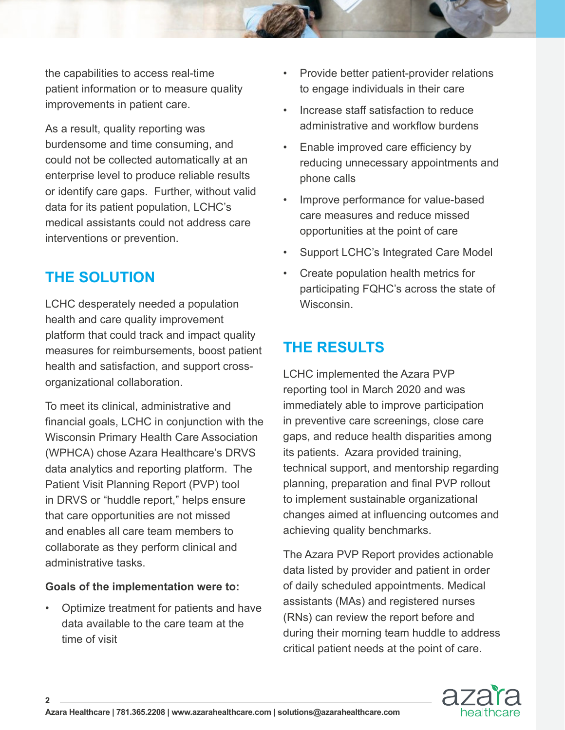the capabilities to access real-time patient information or to measure quality improvements in patient care.

As a result, quality reporting was burdensome and time consuming, and could not be collected automatically at an enterprise level to produce reliable results or identify care gaps. Further, without valid data for its patient population, LCHC's medical assistants could not address care interventions or prevention.

# **THE SOLUTION**

LCHC desperately needed a population health and care quality improvement platform that could track and impact quality measures for reimbursements, boost patient health and satisfaction, and support crossorganizational collaboration.

To meet its clinical, administrative and financial goals, LCHC in conjunction with the Wisconsin Primary Health Care Association (WPHCA) chose Azara Healthcare's DRVS data analytics and reporting platform. The Patient Visit Planning Report (PVP) tool in DRVS or "huddle report," helps ensure that care opportunities are not missed and enables all care team members to collaborate as they perform clinical and administrative tasks.

#### **Goals of the implementation were to:**

**2**

• Optimize treatment for patients and have data available to the care team at the time of visit

- Provide better patient-provider relations to engage individuals in their care
- Increase staff satisfaction to reduce administrative and workflow burdens
- Enable improved care efficiency by reducing unnecessary appointments and phone calls
- Improve performance for value-based care measures and reduce missed opportunities at the point of care
- Support LCHC's Integrated Care Model
- Create population health metrics for participating FQHC's across the state of **Wisconsin**

# **THE RESULTS**

LCHC implemented the Azara PVP reporting tool in March 2020 and was immediately able to improve participation in preventive care screenings, close care gaps, and reduce health disparities among its patients. Azara provided training, technical support, and mentorship regarding planning, preparation and final PVP rollout to implement sustainable organizational changes aimed at influencing outcomes and achieving quality benchmarks.

The Azara PVP Report provides actionable data listed by provider and patient in order of daily scheduled appointments. Medical assistants (MAs) and registered nurses (RNs) can review the report before and during their morning team huddle to address critical patient needs at the point of care.

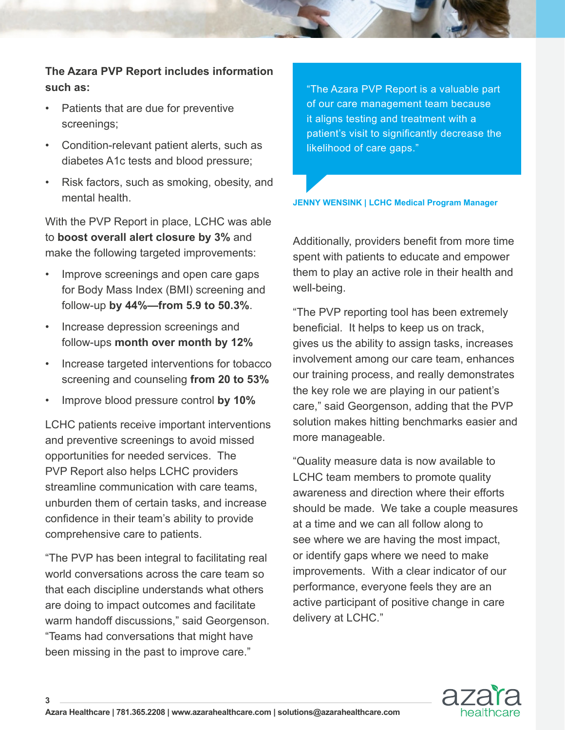**The Azara PVP Report includes information such as:**

- Patients that are due for preventive screenings;
- Condition-relevant patient alerts, such as diabetes A1c tests and blood pressure;
- Risk factors, such as smoking, obesity, and mental health.

With the PVP Report in place, LCHC was able to **boost overall alert closure by 3%** and make the following targeted improvements:

- Improve screenings and open care gaps for Body Mass Index (BMI) screening and follow-up **by 44%—from 5.9 to 50.3%**.
- Increase depression screenings and follow-ups **month over month by 12%**
- Increase targeted interventions for tobacco screening and counseling **from 20 to 53%**
- Improve blood pressure control **by 10%**

LCHC patients receive important interventions and preventive screenings to avoid missed opportunities for needed services. The PVP Report also helps LCHC providers streamline communication with care teams, unburden them of certain tasks, and increase confidence in their team's ability to provide comprehensive care to patients.

"The PVP has been integral to facilitating real world conversations across the care team so that each discipline understands what others are doing to impact outcomes and facilitate warm handoff discussions," said Georgenson. "Teams had conversations that might have been missing in the past to improve care."

**3**

"The Azara PVP Report is a valuable part of our care management team because it aligns testing and treatment with a patient's visit to significantly decrease the likelihood of care gaps."

**JENNY WENSINK | LCHC Medical Program Manager**

Additionally, providers benefit from more time spent with patients to educate and empower them to play an active role in their health and well-being.

"The PVP reporting tool has been extremely beneficial. It helps to keep us on track, gives us the ability to assign tasks, increases involvement among our care team, enhances our training process, and really demonstrates the key role we are playing in our patient's care," said Georgenson, adding that the PVP solution makes hitting benchmarks easier and more manageable.

"Quality measure data is now available to LCHC team members to promote quality awareness and direction where their efforts should be made. We take a couple measures at a time and we can all follow along to see where we are having the most impact, or identify gaps where we need to make improvements. With a clear indicator of our performance, everyone feels they are an active participant of positive change in care delivery at LCHC."